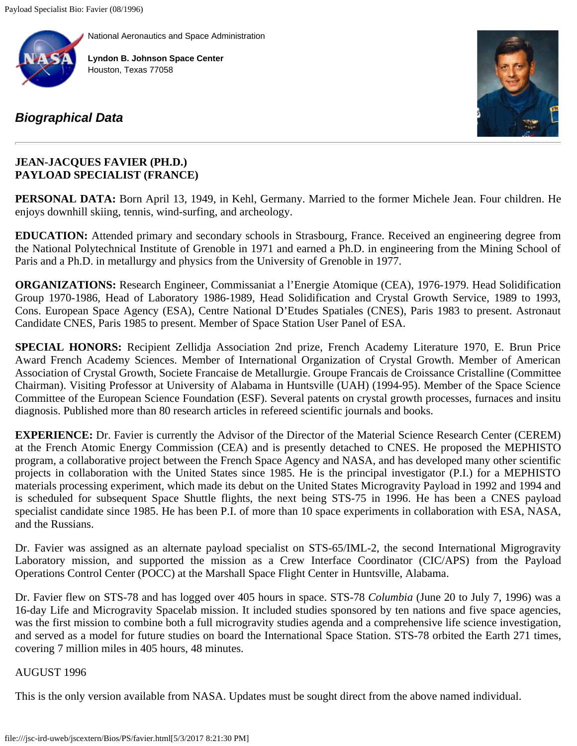[National Aeronautics and Space Administration](http://www.nasa.gov/)



**[Lyndon B. Johnson Space Center](http://www.nasa.gov/centers/johnson/home/index.html)** Houston, Texas 77058

## *[Biographical Data](file:///Bios/)*



## **JEAN-JACQUES FAVIER (PH.D.) PAYLOAD SPECIALIST (FRANCE)**

**PERSONAL DATA:** Born April 13, 1949, in Kehl, Germany. Married to the former Michele Jean. Four children. He enjoys downhill skiing, tennis, wind-surfing, and archeology.

**EDUCATION:** Attended primary and secondary schools in Strasbourg, France. Received an engineering degree from the National Polytechnical Institute of Grenoble in 1971 and earned a Ph.D. in engineering from the Mining School of Paris and a Ph.D. in metallurgy and physics from the University of Grenoble in 1977.

**ORGANIZATIONS:** Research Engineer, Commissaniat a l'Energie Atomique (CEA), 1976-1979. Head Solidification Group 1970-1986, Head of Laboratory 1986-1989, Head Solidification and Crystal Growth Service, 1989 to 1993, Cons. European Space Agency (ESA), Centre National D'Etudes Spatiales (CNES), Paris 1983 to present. Astronaut Candidate CNES, Paris 1985 to present. Member of Space Station User Panel of ESA.

**SPECIAL HONORS:** Recipient Zellidja Association 2nd prize, French Academy Literature 1970, E. Brun Price Award French Academy Sciences. Member of International Organization of Crystal Growth. Member of American Association of Crystal Growth, Societe Francaise de Metallurgie. Groupe Francais de Croissance Cristalline (Committee Chairman). Visiting Professor at University of Alabama in Huntsville (UAH) (1994-95). Member of the Space Science Committee of the European Science Foundation (ESF). Several patents on crystal growth processes, furnaces and insitu diagnosis. Published more than 80 research articles in refereed scientific journals and books.

**EXPERIENCE:** Dr. Favier is currently the Advisor of the Director of the Material Science Research Center (CEREM) at the French Atomic Energy Commission (CEA) and is presently detached to CNES. He proposed the MEPHISTO program, a collaborative project between the French Space Agency and NASA, and has developed many other scientific projects in collaboration with the United States since 1985. He is the principal investigator (P.I.) for a MEPHISTO materials processing experiment, which made its debut on the United States Microgravity Payload in 1992 and 1994 and is scheduled for subsequent Space Shuttle flights, the next being STS-75 in 1996. He has been a CNES payload specialist candidate since 1985. He has been P.I. of more than 10 space experiments in collaboration with ESA, NASA, and the Russians.

Dr. Favier was assigned as an alternate payload specialist on STS-65/IML-2, the second International Migrogravity Laboratory mission, and supported the mission as a Crew Interface Coordinator (CIC/APS) from the Payload Operations Control Center (POCC) at the Marshall Space Flight Center in Huntsville, Alabama.

Dr. Favier flew on STS-78 and has logged over 405 hours in space. STS-78 *Columbia* (June 20 to July 7, 1996) was a 16-day Life and Microgravity Spacelab mission. It included studies sponsored by ten nations and five space agencies, was the first mission to combine both a full microgravity studies agenda and a comprehensive life science investigation, and served as a model for future studies on board the International Space Station. STS-78 orbited the Earth 271 times, covering 7 million miles in 405 hours, 48 minutes.

## AUGUST 1996

This is the only version available from NASA. Updates must be sought direct from the above named individual.